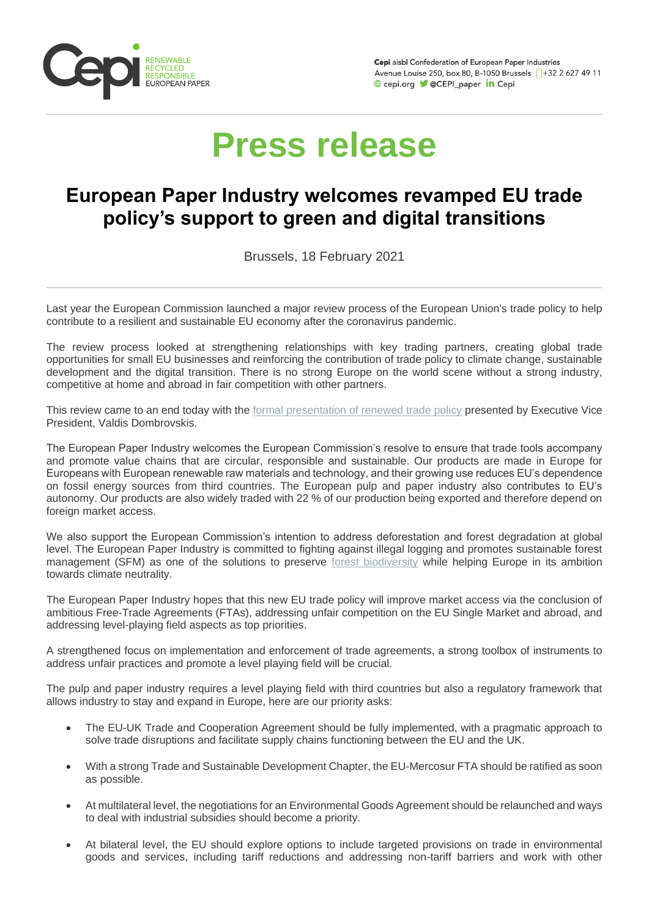

Cepi aisbl Confederation of European Paper Industries Avenue Louise 250, box 80, B-1050 Brussels 1+32 2 627 49 11 **OD** cepi.org **V** @CEPI\_paper **in** Cepi

## **Press release**

## **European Paper Industry welcomes revamped EU trade policy's support to green and digital transitions**

Brussels, 18 February 2021

Last year the European Commission launched a major review process of the European Union's trade policy to help contribute to a resilient and sustainable EU economy after the coronavirus pandemic.

The review process looked at strengthening relationships with key trading partners, creating global trade opportunities for small EU businesses and reinforcing the contribution of trade policy to climate change, sustainable development and the digital transition. There is no strong Europe on the world scene without a strong industry, competitive at home and abroad in fair competition with other partners.

This review came to an end today with the [formal presentation of renewed trade policy](http://link.mediaoutreach.meltwater.com/ls/click?upn=lDSJLz7Iw-2FiljaLRNub2fTKJxojvOUPRmp-2BZhINyFjdbqjYWDX9-2BNTz08BsLIRaFwI8Mlu7EiuVPhE0wPYeMAs8kfcNtJJMoAIhZsilp7cw-3DnswI_m-2FsgexGpXRuQphl-2F9JAemhktjKmQcJ41L1gGSBwABAmDSQK3o8Pq8mrEDpackSmIiJ6PHz3MIRFD5vq5KrFGtjVxCWT-2BH-2FDKqImiBEVWCN2VvgiGxvi5s-2BRwMcqpjOHIkA4ifbaf12GBhJq25UaOjimqJba1KBe38NyJsRzSsOJulg0DjtBBOePbw24i6oYAOSxt7ljtTLQ3Q3Sobkg0DHpAIVr7oY79RL0MLAJkr3axWMQCsjDDQCAUHEjalStSH7HTrSYiyInDjKZhCNdtPOXBq1eujG1m5FT3jd-2Ffa360rswiFBxK0cM3zww4ui90fZpQTGRS9PqssJWNoBxjv-2FV3lnUglJOVztNRyiJnqaW-2FSM1DNgycFtYzUgVc1smEuCGNRSV0M6LL-2Bua3R-2BUPuyINGhQfLylPk96uBmA1kwY-3D) presented by Executive Vice President, Valdis Dombrovskis.

The European Paper Industry welcomes the European Commission's resolve to ensure that trade tools accompany and promote value chains that are circular, responsible and sustainable. Our products are made in Europe for Europeans with European renewable raw materials and technology, and their growing use reduces EU's dependence on fossil energy sources from third countries. The European pulp and paper industry also contributes to EU's autonomy. Our products are also widely traded with 22 % of our production being exported and therefore depend on foreign market access.

We also support the European Commission's intention to address deforestation and forest degradation at global level. The European Paper Industry is committed to fighting against illegal logging and promotes sustainable forest management (SFM) as one of the solutions to preserve [forest biodiversity](http://link.mediaoutreach.meltwater.com/ls/click?upn=lDSJLz7Iw-2FiljaLRNub2fbw1EZ7VT1BCULMVxf9JvkNgzi2rpAD3SG8PQl1g0Lx-2FGrix_m-2FsgexGpXRuQphl-2F9JAemhktjKmQcJ41L1gGSBwABAmDSQK3o8Pq8mrEDpackSmIiJ6PHz3MIRFD5vq5KrFGtjVxCWT-2BH-2FDKqImiBEVWCN2VvgiGxvi5s-2BRwMcqpjOHIkA4ifbaf12GBhJq25UaOjimqJba1KBe38NyJsRzSsOJulg0DjtBBOePbw24i6oYAOSxt7ljtTLQ3Q3Sobkg0DIO4zqofcDqqVCvptgWCgOz7TnVyMPW7FtAPIaFLWtYjb11LvNurJ-2B1Uk-2FuG-2B3yb05BPLydU1NcKfdeiFt4YudhV-2B7vlIX-2F1aLWrqkpo2X888RdWF35-2FqGE15n3XtolNTCWppyvkzD3wsU7aH-2BGYiwgybbY3tIlQnKCee5WHOzTdA2-2B3RlD3kRXW80UokiwCiiaRrLrj8AaEgYDpzIrcFME-3D) while helping Europe in its ambition towards climate neutrality.

The European Paper Industry hopes that this new EU trade policy will improve market access via the conclusion of ambitious Free-Trade Agreements (FTAs), addressing unfair competition on the EU Single Market and abroad, and addressing level-playing field aspects as top priorities.

A strengthened focus on implementation and enforcement of trade agreements, a strong toolbox of instruments to address unfair practices and promote a level playing field will be crucial.

The pulp and paper industry requires a level playing field with third countries but also a regulatory framework that allows industry to stay and expand in Europe, here are our priority asks:

- The EU-UK Trade and Cooperation Agreement should be fully implemented, with a pragmatic approach to solve trade disruptions and facilitate supply chains functioning between the EU and the UK.
- With a strong Trade and Sustainable Development Chapter, the EU-Mercosur FTA should be ratified as soon as possible.
- At multilateral level, the negotiations for an Environmental Goods Agreement should be relaunched and ways to deal with industrial subsidies should become a priority.
- At bilateral level, the EU should explore options to include targeted provisions on trade in environmental goods and services, including tariff reductions and addressing non-tariff barriers and work with other